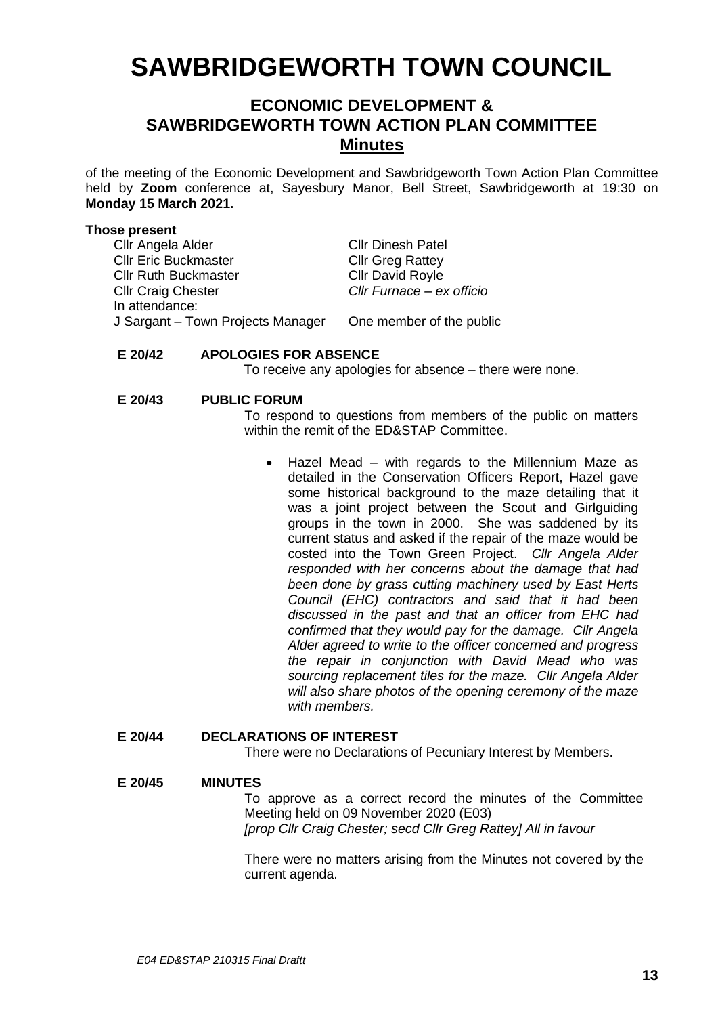# **SAWBRIDGEWORTH TOWN COUNCIL**

# **ECONOMIC DEVELOPMENT & SAWBRIDGEWORTH TOWN ACTION PLAN COMMITTEE Minutes**

of the meeting of the Economic Development and Sawbridgeworth Town Action Plan Committee held by **Zoom** conference at, Sayesbury Manor, Bell Street, Sawbridgeworth at 19:30 on **Monday 15 March 2021.**

#### **Those present**

Cllr Angela Alder Cllr Dinesh Patel Cllr Eric Buckmaster Cllr Greg Rattey Cllr Ruth Buckmaster Cllr David Royle Cllr Craig Chester *Cllr Furnace – ex officio* In attendance: J Sargant – Town Projects Manager One member of the public

### **E 20/42 APOLOGIES FOR ABSENCE**

To receive any apologies for absence – there were none.

#### **E 20/43 PUBLIC FORUM**

To respond to questions from members of the public on matters within the remit of the ED&STAP Committee.

• Hazel Mead – with regards to the Millennium Maze as detailed in the Conservation Officers Report, Hazel gave some historical background to the maze detailing that it was a joint project between the Scout and Girlguiding groups in the town in 2000. She was saddened by its current status and asked if the repair of the maze would be costed into the Town Green Project. *Cllr Angela Alder responded with her concerns about the damage that had been done by grass cutting machinery used by East Herts Council (EHC) contractors and said that it had been discussed in the past and that an officer from EHC had confirmed that they would pay for the damage. Cllr Angela Alder agreed to write to the officer concerned and progress the repair in conjunction with David Mead who was sourcing replacement tiles for the maze. Cllr Angela Alder will also share photos of the opening ceremony of the maze with members.*

# **E 20/44 DECLARATIONS OF INTEREST**

There were no Declarations of Pecuniary Interest by Members.

#### **E 20/45 MINUTES**

To approve as a correct record the minutes of the Committee Meeting held on 09 November 2020 (E03) *[prop Cllr Craig Chester; secd Cllr Greg Rattey] All in favour*

There were no matters arising from the Minutes not covered by the current agenda.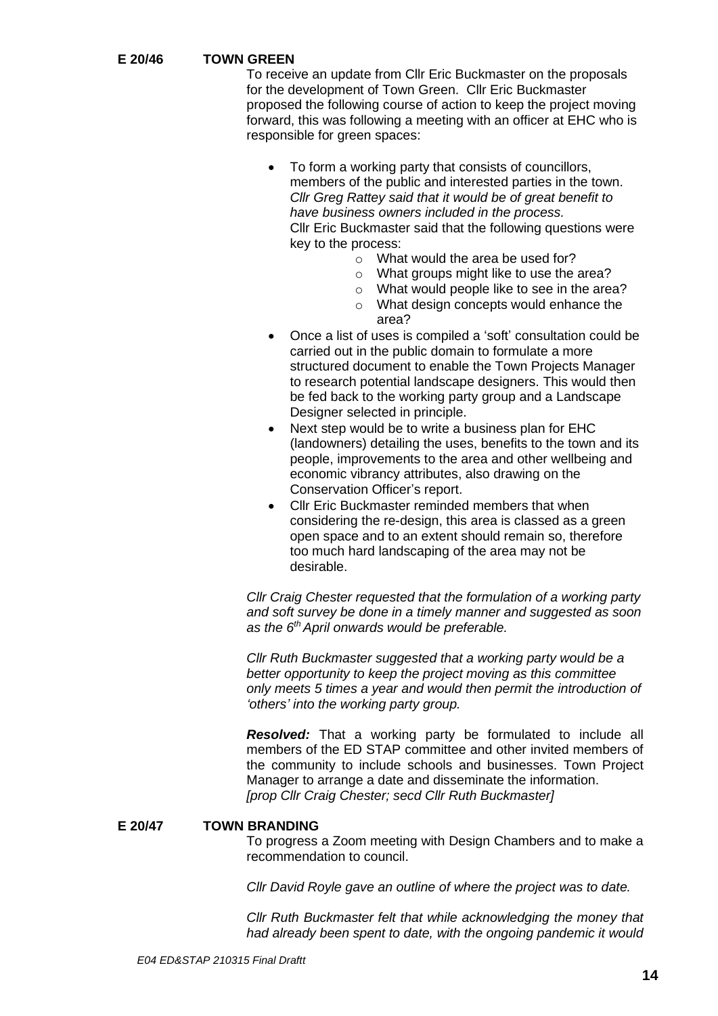# **E 20/46 TOWN GREEN**

To receive an update from Cllr Eric Buckmaster on the proposals for the development of Town Green. Cllr Eric Buckmaster proposed the following course of action to keep the project moving forward, this was following a meeting with an officer at EHC who is responsible for green spaces:

• To form a working party that consists of councillors, members of the public and interested parties in the town. *Cllr Greg Rattey said that it would be of great benefit to have business owners included in the process.* Cllr Eric Buckmaster said that the following questions were key to the process:

- o What would the area be used for?
- $\circ$  What groups might like to use the area?
- o What would people like to see in the area?
- o What design concepts would enhance the area?
- Once a list of uses is compiled a 'soft' consultation could be carried out in the public domain to formulate a more structured document to enable the Town Projects Manager to research potential landscape designers. This would then be fed back to the working party group and a Landscape Designer selected in principle.
- Next step would be to write a business plan for EHC (landowners) detailing the uses, benefits to the town and its people, improvements to the area and other wellbeing and economic vibrancy attributes, also drawing on the Conservation Officer's report.
- Cllr Eric Buckmaster reminded members that when considering the re-design, this area is classed as a green open space and to an extent should remain so, therefore too much hard landscaping of the area may not be desirable.

*Cllr Craig Chester requested that the formulation of a working party and soft survey be done in a timely manner and suggested as soon*  as the 6<sup>th</sup> April onwards would be preferable.

*Cllr Ruth Buckmaster suggested that a working party would be a better opportunity to keep the project moving as this committee only meets 5 times a year and would then permit the introduction of 'others' into the working party group.*

*Resolved:* That a working party be formulated to include all members of the ED STAP committee and other invited members of the community to include schools and businesses. Town Project Manager to arrange a date and disseminate the information. *[prop Cllr Craig Chester; secd Cllr Ruth Buckmaster]*

#### **E 20/47 TOWN BRANDING**

To progress a Zoom meeting with Design Chambers and to make a recommendation to council.

*Cllr David Royle gave an outline of where the project was to date.* 

*Cllr Ruth Buckmaster felt that while acknowledging the money that had already been spent to date, with the ongoing pandemic it would*